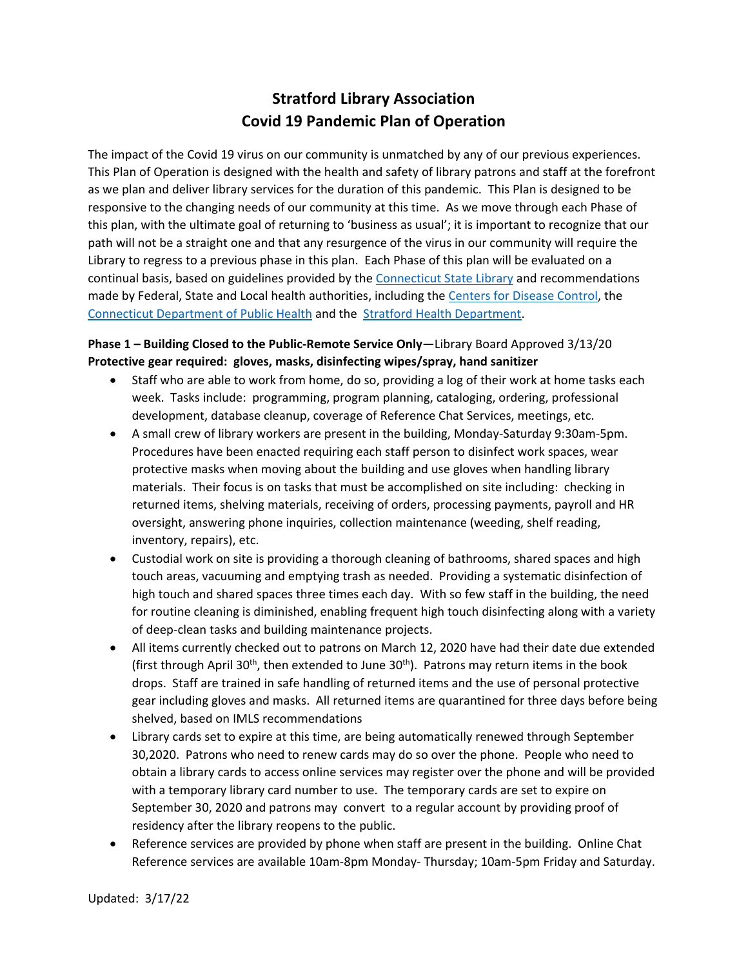# **Stratford Library Association Covid 19 Pandemic Plan of Operation**

The impact of the Covid 19 virus on our community is unmatched by any of our previous experiences. This Plan of Operation is designed with the health and safety of library patrons and staff at the forefront as we plan and deliver library services for the duration of this pandemic. This Plan is designed to be responsive to the changing needs of our community at this time. As we move through each Phase of this plan, with the ultimate goal of returning to 'business as usual'; it is important to recognize that our path will not be a straight one and that any resurgence of the virus in our community will require the Library to regress to a previous phase in this plan. Each Phase of this plan will be evaluated on a continual basis, based on guidelines provided by the [Connecticut State Library](https://libguides.ctstatelibrary.org/dld/COVID-19) and recommendations made by Federal, State and Local health authorities, including the [Centers for Disease Control,](https://www.cdc.gov/) the [Connecticut Department of Public Health](https://portal.ct.gov/Coronavirus) and the [Stratford Health Department.](http://www.townofstratford.com/health)

## **Phase 1 – Building Closed to the Public-Remote Service Only**—Library Board Approved 3/13/20 **Protective gear required: gloves, masks, disinfecting wipes/spray, hand sanitizer**

- Staff who are able to work from home, do so, providing a log of their work at home tasks each week. Tasks include: programming, program planning, cataloging, ordering, professional development, database cleanup, coverage of Reference Chat Services, meetings, etc.
- A small crew of library workers are present in the building, Monday-Saturday 9:30am-5pm. Procedures have been enacted requiring each staff person to disinfect work spaces, wear protective masks when moving about the building and use gloves when handling library materials. Their focus is on tasks that must be accomplished on site including: checking in returned items, shelving materials, receiving of orders, processing payments, payroll and HR oversight, answering phone inquiries, collection maintenance (weeding, shelf reading, inventory, repairs), etc.
- Custodial work on site is providing a thorough cleaning of bathrooms, shared spaces and high touch areas, vacuuming and emptying trash as needed. Providing a systematic disinfection of high touch and shared spaces three times each day. With so few staff in the building, the need for routine cleaning is diminished, enabling frequent high touch disinfecting along with a variety of deep-clean tasks and building maintenance projects.
- All items currently checked out to patrons on March 12, 2020 have had their date due extended (first through April 30<sup>th</sup>, then extended to June 30<sup>th</sup>). Patrons may return items in the book drops. Staff are trained in safe handling of returned items and the use of personal protective gear including gloves and masks. All returned items are quarantined for three days before being shelved, based on IMLS recommendations
- Library cards set to expire at this time, are being automatically renewed through September 30,2020. Patrons who need to renew cards may do so over the phone. People who need to obtain a library cards to access online services may register over the phone and will be provided with a temporary library card number to use. The temporary cards are set to expire on September 30, 2020 and patrons may convert to a regular account by providing proof of residency after the library reopens to the public.
- Reference services are provided by phone when staff are present in the building. Online Chat Reference services are available 10am-8pm Monday- Thursday; 10am-5pm Friday and Saturday.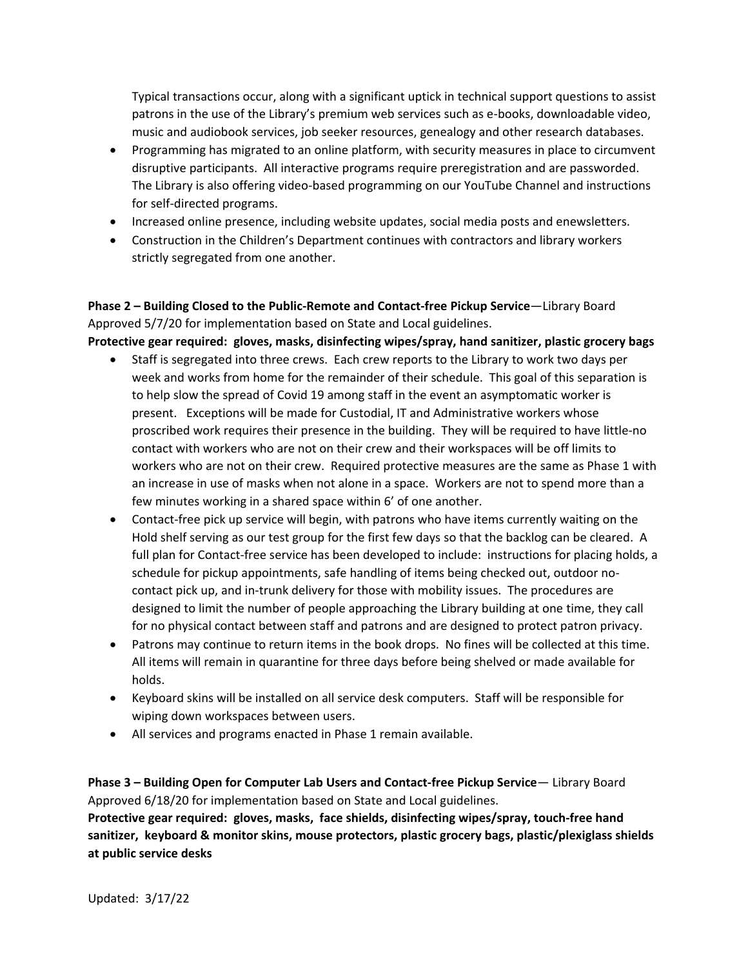Typical transactions occur, along with a significant uptick in technical support questions to assist patrons in the use of the Library's premium web services such as e-books, downloadable video, music and audiobook services, job seeker resources, genealogy and other research databases.

- Programming has migrated to an online platform, with security measures in place to circumvent disruptive participants. All interactive programs require preregistration and are passworded. The Library is also offering video-based programming on our YouTube Channel and instructions for self-directed programs.
- Increased online presence, including website updates, social media posts and enewsletters.
- Construction in the Children's Department continues with contractors and library workers strictly segregated from one another.

**Phase 2 – Building Closed to the Public-Remote and Contact-free Pickup Service**—Library Board Approved 5/7/20 for implementation based on State and Local guidelines.

**Protective gear required: gloves, masks, disinfecting wipes/spray, hand sanitizer, plastic grocery bags**

- Staff is segregated into three crews. Each crew reports to the Library to work two days per week and works from home for the remainder of their schedule. This goal of this separation is to help slow the spread of Covid 19 among staff in the event an asymptomatic worker is present. Exceptions will be made for Custodial, IT and Administrative workers whose proscribed work requires their presence in the building. They will be required to have little-no contact with workers who are not on their crew and their workspaces will be off limits to workers who are not on their crew. Required protective measures are the same as Phase 1 with an increase in use of masks when not alone in a space. Workers are not to spend more than a few minutes working in a shared space within 6' of one another.
- Contact-free pick up service will begin, with patrons who have items currently waiting on the Hold shelf serving as our test group for the first few days so that the backlog can be cleared. A full plan for Contact-free service has been developed to include: instructions for placing holds, a schedule for pickup appointments, safe handling of items being checked out, outdoor nocontact pick up, and in-trunk delivery for those with mobility issues. The procedures are designed to limit the number of people approaching the Library building at one time, they call for no physical contact between staff and patrons and are designed to protect patron privacy.
- Patrons may continue to return items in the book drops. No fines will be collected at this time. All items will remain in quarantine for three days before being shelved or made available for holds.
- Keyboard skins will be installed on all service desk computers. Staff will be responsible for wiping down workspaces between users.
- All services and programs enacted in Phase 1 remain available.

**Phase 3 – Building Open for Computer Lab Users and Contact-free Pickup Service**— Library Board Approved 6/18/20 for implementation based on State and Local guidelines. **Protective gear required: gloves, masks, face shields, disinfecting wipes/spray, touch-free hand** 

**sanitizer, keyboard & monitor skins, mouse protectors, plastic grocery bags, plastic/plexiglass shields at public service desks**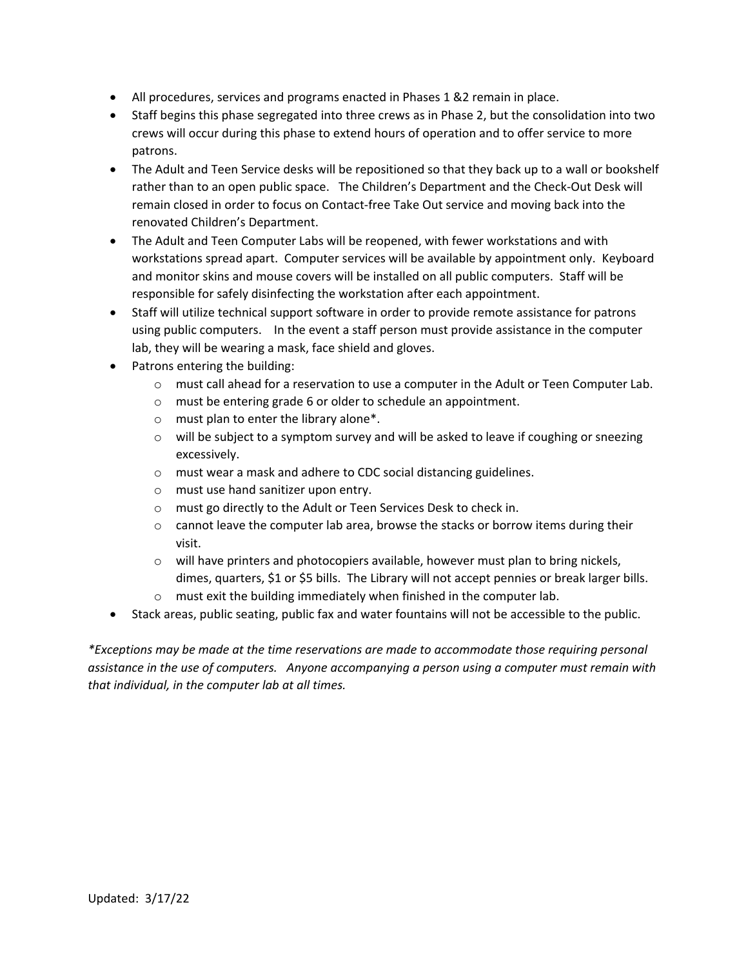- All procedures, services and programs enacted in Phases 1 &2 remain in place.
- Staff begins this phase segregated into three crews as in Phase 2, but the consolidation into two crews will occur during this phase to extend hours of operation and to offer service to more patrons.
- The Adult and Teen Service desks will be repositioned so that they back up to a wall or bookshelf rather than to an open public space. The Children's Department and the Check-Out Desk will remain closed in order to focus on Contact-free Take Out service and moving back into the renovated Children's Department.
- The Adult and Teen Computer Labs will be reopened, with fewer workstations and with workstations spread apart. Computer services will be available by appointment only. Keyboard and monitor skins and mouse covers will be installed on all public computers. Staff will be responsible for safely disinfecting the workstation after each appointment.
- Staff will utilize technical support software in order to provide remote assistance for patrons using public computers. In the event a staff person must provide assistance in the computer lab, they will be wearing a mask, face shield and gloves.
- Patrons entering the building:
	- $\circ$  must call ahead for a reservation to use a computer in the Adult or Teen Computer Lab.
	- o must be entering grade 6 or older to schedule an appointment.
	- o must plan to enter the library alone\*.
	- o will be subject to a symptom survey and will be asked to leave if coughing or sneezing excessively.
	- o must wear a mask and adhere to CDC social distancing guidelines.
	- o must use hand sanitizer upon entry.
	- o must go directly to the Adult or Teen Services Desk to check in.
	- $\circ$  cannot leave the computer lab area, browse the stacks or borrow items during their visit.
	- $\circ$  will have printers and photocopiers available, however must plan to bring nickels, dimes, quarters, \$1 or \$5 bills. The Library will not accept pennies or break larger bills.
	- o must exit the building immediately when finished in the computer lab.
- Stack areas, public seating, public fax and water fountains will not be accessible to the public.

*\*Exceptions may be made at the time reservations are made to accommodate those requiring personal assistance in the use of computers. Anyone accompanying a person using a computer must remain with that individual, in the computer lab at all times.*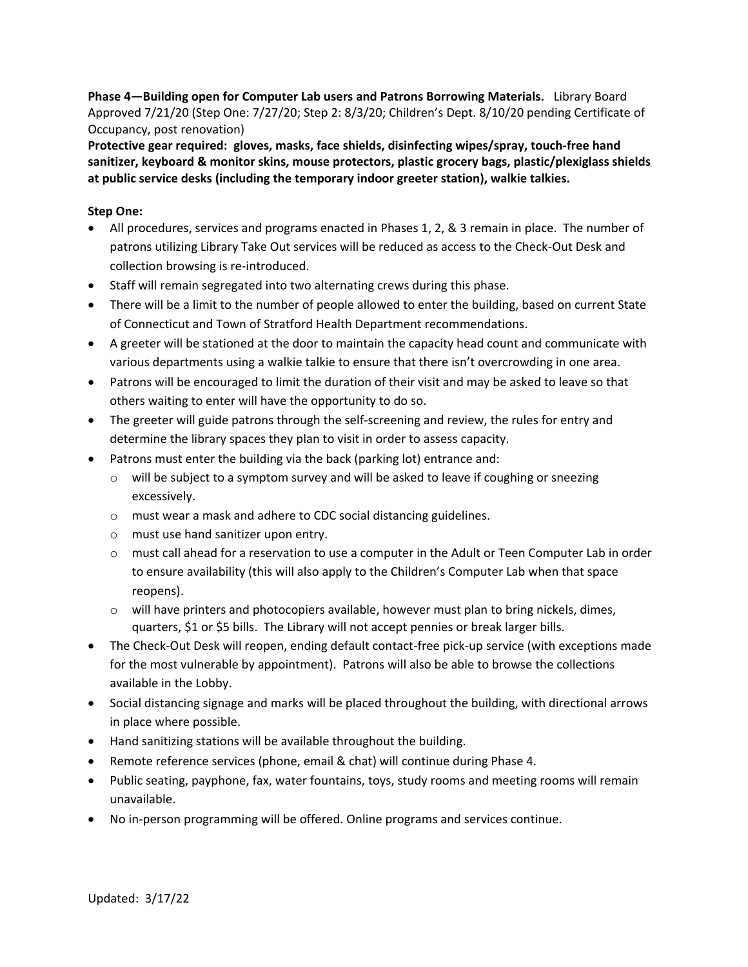**Phase 4—Building open for Computer Lab users and Patrons Borrowing Materials.** Library Board Approved 7/21/20 (Step One: 7/27/20; Step 2: 8/3/20; Children's Dept. 8/10/20 pending Certificate of Occupancy, post renovation)

**Protective gear required: gloves, masks, face shields, disinfecting wipes/spray, touch-free hand sanitizer, keyboard & monitor skins, mouse protectors, plastic grocery bags, plastic/plexiglass shields at public service desks (including the temporary indoor greeter station), walkie talkies.**

#### **Step One:**

- All procedures, services and programs enacted in Phases 1, 2, & 3 remain in place. The number of patrons utilizing Library Take Out services will be reduced as access to the Check-Out Desk and collection browsing is re-introduced.
- Staff will remain segregated into two alternating crews during this phase.
- There will be a limit to the number of people allowed to enter the building, based on current State of Connecticut and Town of Stratford Health Department recommendations.
- A greeter will be stationed at the door to maintain the capacity head count and communicate with various departments using a walkie talkie to ensure that there isn't overcrowding in one area.
- Patrons will be encouraged to limit the duration of their visit and may be asked to leave so that others waiting to enter will have the opportunity to do so.
- The greeter will guide patrons through the self-screening and review, the rules for entry and determine the library spaces they plan to visit in order to assess capacity.
- Patrons must enter the building via the back (parking lot) entrance and:
	- $\circ$  will be subject to a symptom survey and will be asked to leave if coughing or sneezing excessively.
	- o must wear a mask and adhere to CDC social distancing guidelines.
	- o must use hand sanitizer upon entry.
	- $\circ$  must call ahead for a reservation to use a computer in the Adult or Teen Computer Lab in order to ensure availability (this will also apply to the Children's Computer Lab when that space reopens).
	- $\circ$  will have printers and photocopiers available, however must plan to bring nickels, dimes, quarters, \$1 or \$5 bills. The Library will not accept pennies or break larger bills.
- The Check-Out Desk will reopen, ending default contact-free pick-up service (with exceptions made for the most vulnerable by appointment). Patrons will also be able to browse the collections available in the Lobby.
- Social distancing signage and marks will be placed throughout the building, with directional arrows in place where possible.
- Hand sanitizing stations will be available throughout the building.
- Remote reference services (phone, email & chat) will continue during Phase 4.
- Public seating, payphone, fax, water fountains, toys, study rooms and meeting rooms will remain unavailable.
- No in-person programming will be offered. Online programs and services continue.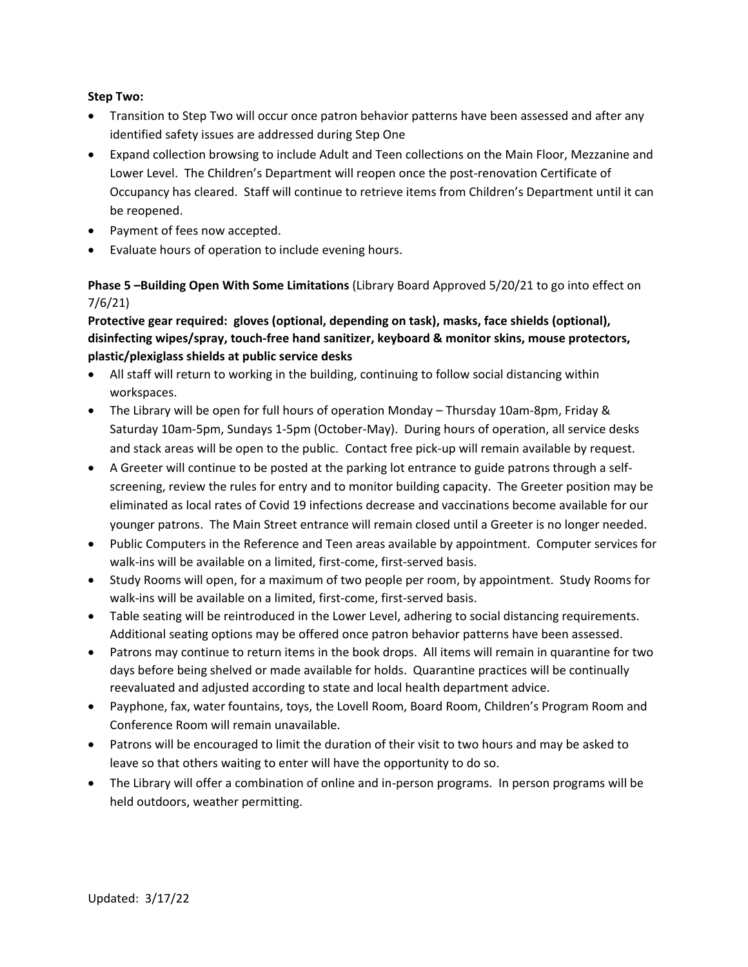#### **Step Two:**

- Transition to Step Two will occur once patron behavior patterns have been assessed and after any identified safety issues are addressed during Step One
- Expand collection browsing to include Adult and Teen collections on the Main Floor, Mezzanine and Lower Level. The Children's Department will reopen once the post-renovation Certificate of Occupancy has cleared. Staff will continue to retrieve items from Children's Department until it can be reopened.
- Payment of fees now accepted.
- Evaluate hours of operation to include evening hours.

## **Phase 5 –Building Open With Some Limitations** (Library Board Approved 5/20/21 to go into effect on 7/6/21)

## **Protective gear required: gloves (optional, depending on task), masks, face shields (optional), disinfecting wipes/spray, touch-free hand sanitizer, keyboard & monitor skins, mouse protectors, plastic/plexiglass shields at public service desks**

- All staff will return to working in the building, continuing to follow social distancing within workspaces.
- The Library will be open for full hours of operation Monday Thursday 10am-8pm, Friday & Saturday 10am-5pm, Sundays 1-5pm (October-May). During hours of operation, all service desks and stack areas will be open to the public. Contact free pick-up will remain available by request.
- A Greeter will continue to be posted at the parking lot entrance to guide patrons through a selfscreening, review the rules for entry and to monitor building capacity. The Greeter position may be eliminated as local rates of Covid 19 infections decrease and vaccinations become available for our younger patrons. The Main Street entrance will remain closed until a Greeter is no longer needed.
- Public Computers in the Reference and Teen areas available by appointment. Computer services for walk-ins will be available on a limited, first-come, first-served basis.
- Study Rooms will open, for a maximum of two people per room, by appointment. Study Rooms for walk-ins will be available on a limited, first-come, first-served basis.
- Table seating will be reintroduced in the Lower Level, adhering to social distancing requirements. Additional seating options may be offered once patron behavior patterns have been assessed.
- Patrons may continue to return items in the book drops. All items will remain in quarantine for two days before being shelved or made available for holds. Quarantine practices will be continually reevaluated and adjusted according to state and local health department advice.
- Payphone, fax, water fountains, toys, the Lovell Room, Board Room, Children's Program Room and Conference Room will remain unavailable.
- Patrons will be encouraged to limit the duration of their visit to two hours and may be asked to leave so that others waiting to enter will have the opportunity to do so.
- The Library will offer a combination of online and in-person programs. In person programs will be held outdoors, weather permitting.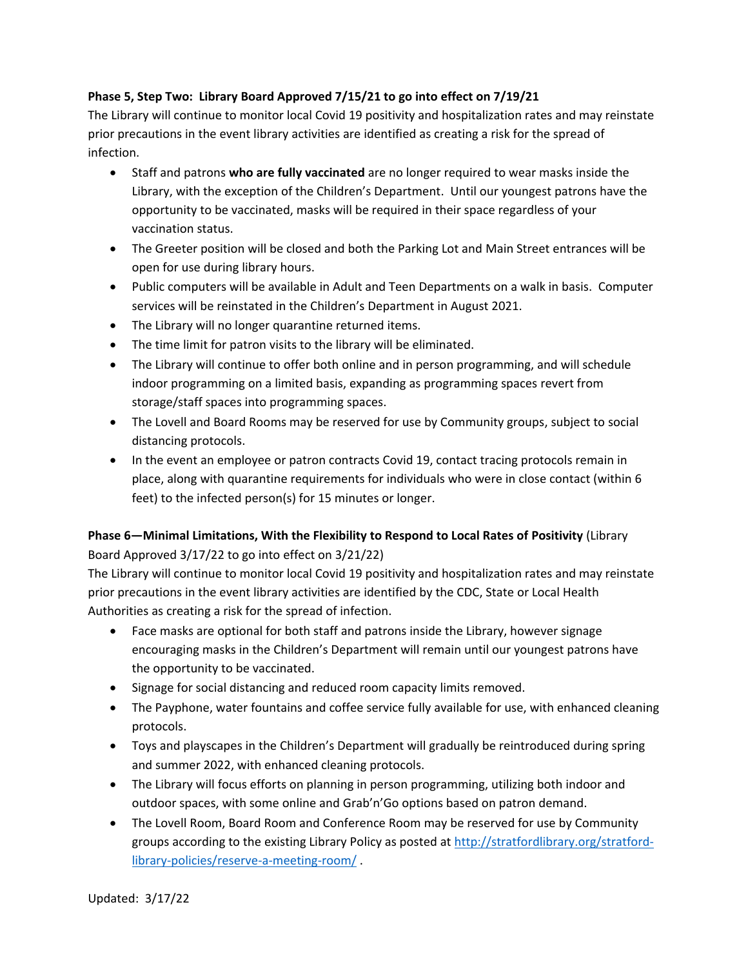## **Phase 5, Step Two: Library Board Approved 7/15/21 to go into effect on 7/19/21**

The Library will continue to monitor local Covid 19 positivity and hospitalization rates and may reinstate prior precautions in the event library activities are identified as creating a risk for the spread of infection.

- Staff and patrons **who are fully vaccinated** are no longer required to wear masks inside the Library, with the exception of the Children's Department. Until our youngest patrons have the opportunity to be vaccinated, masks will be required in their space regardless of your vaccination status.
- The Greeter position will be closed and both the Parking Lot and Main Street entrances will be open for use during library hours.
- Public computers will be available in Adult and Teen Departments on a walk in basis. Computer services will be reinstated in the Children's Department in August 2021.
- The Library will no longer quarantine returned items.
- The time limit for patron visits to the library will be eliminated.
- The Library will continue to offer both online and in person programming, and will schedule indoor programming on a limited basis, expanding as programming spaces revert from storage/staff spaces into programming spaces.
- The Lovell and Board Rooms may be reserved for use by Community groups, subject to social distancing protocols.
- In the event an employee or patron contracts Covid 19, contact tracing protocols remain in place, along with quarantine requirements for individuals who were in close contact (within 6 feet) to the infected person(s) for 15 minutes or longer.

# **Phase 6—Minimal Limitations, With the Flexibility to Respond to Local Rates of Positivity** (Library Board Approved 3/17/22 to go into effect on 3/21/22)

The Library will continue to monitor local Covid 19 positivity and hospitalization rates and may reinstate prior precautions in the event library activities are identified by the CDC, State or Local Health Authorities as creating a risk for the spread of infection.

- Face masks are optional for both staff and patrons inside the Library, however signage encouraging masks in the Children's Department will remain until our youngest patrons have the opportunity to be vaccinated.
- Signage for social distancing and reduced room capacity limits removed.
- The Payphone, water fountains and coffee service fully available for use, with enhanced cleaning protocols.
- Toys and playscapes in the Children's Department will gradually be reintroduced during spring and summer 2022, with enhanced cleaning protocols.
- The Library will focus efforts on planning in person programming, utilizing both indoor and outdoor spaces, with some online and Grab'n'Go options based on patron demand.
- The Lovell Room, Board Room and Conference Room may be reserved for use by Community groups according to the existing Library Policy as posted at [http://stratfordlibrary.org/stratford](http://stratfordlibrary.org/stratford-library-policies/reserve-a-meeting-room/)[library-policies/reserve-a-meeting-room/](http://stratfordlibrary.org/stratford-library-policies/reserve-a-meeting-room/) .